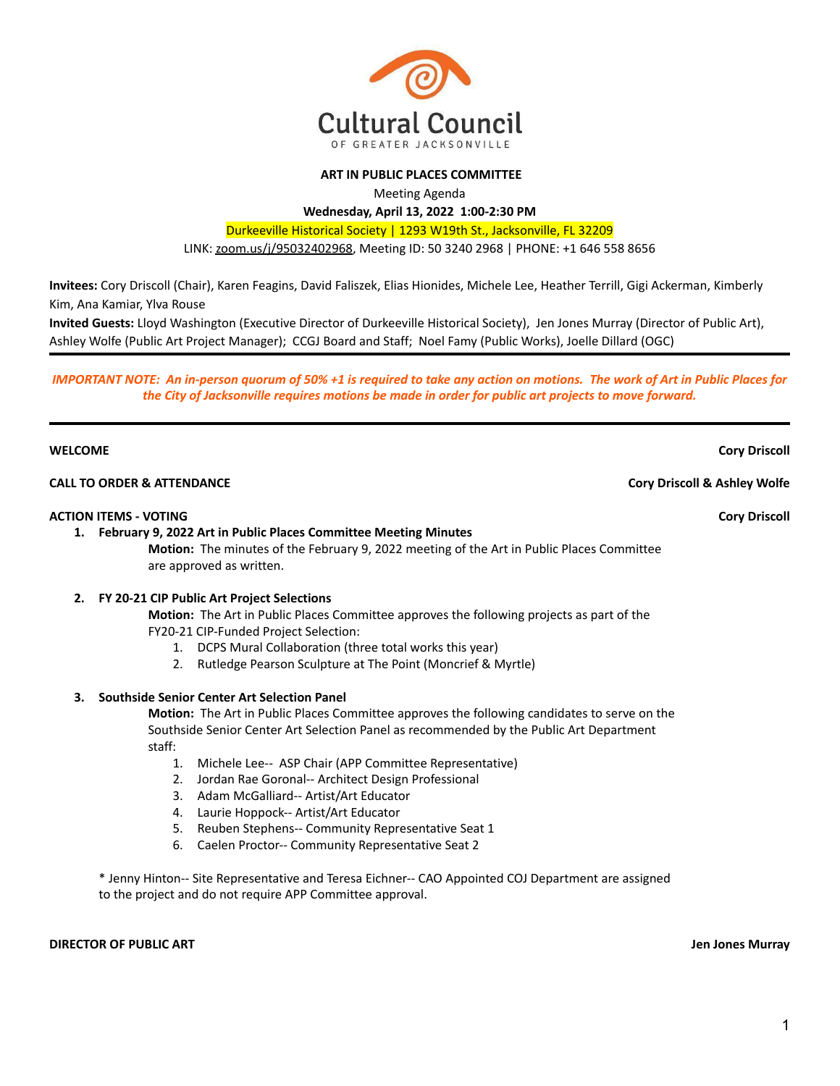

### **ART IN PUBLIC PLACES COMMITTEE**

Meeting Agenda

**Wednesday, April 13, 2022 1:00-2:30 PM**

Durkeeville Historical Society | 1293 W19th St., Jacksonville, FL 32209

LINK: [zoom.us/j/95032402968](https://zoom.us/j/95032402968), Meeting ID: 50 3240 2968 | PHONE: +1 646 558 8656

**Invitees:** Cory Driscoll (Chair), Karen Feagins, David Faliszek, Elias Hionides, Michele Lee, Heather Terrill, Gigi Ackerman, Kimberly Kim, Ana Kamiar, Ylva Rouse

**Invited Guests:** Lloyd Washington (Executive Director of Durkeeville Historical Society), Jen Jones Murray (Director of Public Art), Ashley Wolfe (Public Art Project Manager); CCGJ Board and Staff; Noel Famy (Public Works), Joelle Dillard (OGC)

**IMPORTANT NOTE: An in-person quorum of 50% +1 is required to take any action on motions. The work of Art in Public Places for** *the City of Jacksonville requires motions be made in order for public art projects to move forward.*

### **WELCOME Cory Driscoll**

### **CALL TO ORDER & ATTENDANCE Cory Driscoll & Ashley Wolfe**

#### **ACTION ITEMS - VOTING Cory Driscoll**

**1. February 9, 2022 Art in Public Places Committee Meeting Minutes**

**Motion:** The minutes of the February 9, 2022 meeting of the Art in Public Places Committee are approved as written.

#### **2. FY 20-21 CIP Public Art Project Selections**

**Motion:** The Art in Public Places Committee approves the following projects as part of the FY20-21 CIP-Funded Project Selection:

- 1. DCPS Mural Collaboration (three total works this year)
- 2. Rutledge Pearson Sculpture at The Point (Moncrief & Myrtle)

#### **3. Southside Senior Center Art Selection Panel**

**Motion:** The Art in Public Places Committee approves the following candidates to serve on the Southside Senior Center Art Selection Panel as recommended by the Public Art Department staff:

- 1. Michele Lee-- ASP Chair (APP Committee Representative)
- 2. Jordan Rae Goronal-- Architect Design Professional
- 3. Adam McGalliard-- Artist/Art Educator
- 4. Laurie Hoppock-- Artist/Art Educator
- 5. Reuben Stephens-- Community Representative Seat 1
- 6. Caelen Proctor-- Community Representative Seat 2

\* Jenny Hinton-- Site Representative and Teresa Eichner-- CAO Appointed COJ Department are assigned to the project and do not require APP Committee approval.

**DIRECTOR OF PUBLIC ART Jen Jones Murray**

1